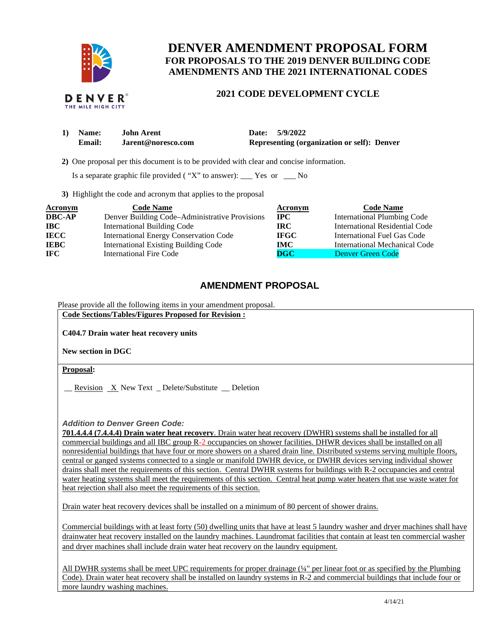

# **DENVER AMENDMENT PROPOSAL FORM FOR PROPOSALS TO THE 2019 DENVER BUILDING CODE AMENDMENTS AND THE 2021 INTERNATIONAL CODES**

#### **DENVER**® THE MILE HIGH CITY

## **2021 CODE DEVELOPMENT CYCLE**

| 1) Name: | <b>John Arent</b>  | Date: 5/9/2022                              |
|----------|--------------------|---------------------------------------------|
| Email:   | Jarent@noresco.com | Representing (organization or self): Denver |

 **2)** One proposal per this document is to be provided with clear and concise information.

Is a separate graphic file provided ( $"X"$  to answer): \_\_\_ Yes or \_\_\_ No

**3)** Highlight the code and acronym that applies to the proposal

| <b>Acronym</b> | <b>Code Name</b>                               | Acronym     | <b>Code Name</b>                   |
|----------------|------------------------------------------------|-------------|------------------------------------|
| <b>DBC-AP</b>  | Denver Building Code-Administrative Provisions | $\bf{IPC}$  | <b>International Plumbing Code</b> |
| <b>IBC</b>     | <b>International Building Code</b>             | IRC.        | International Residential Code     |
| <b>IECC</b>    | <b>International Energy Conservation Code</b>  | <b>IFGC</b> | <b>International Fuel Gas Code</b> |
| <b>IEBC</b>    | <b>International Existing Building Code</b>    | IMC-        | International Mechanical Code      |
| <b>IFC</b>     | <b>International Fire Code</b>                 | $\bf DGC$   | Denver Green Code                  |

# **AMENDMENT PROPOSAL**

Please provide all the following items in your amendment proposal.

**Code Sections/Tables/Figures Proposed for Revision :** 

**C404.7 Drain water heat recovery units** 

**New section in DGC**

**Proposal:** 

 $\frac{\text{Revision}}{\text{New Text}}$  Delete/Substitute  $\frac{\text{Deletion}}{\text{P}}$ 

*Addition to Denver Green Code:* 

**701.4.4.4 (7.4.4.4) Drain water heat recovery**. Drain water heat recovery (DWHR) systems shall be installed for all commercial buildings and all IBC group R-2 occupancies on shower facilities. DHWR devices shall be installed on all nonresidential buildings that have four or more showers on a shared drain line. Distributed systems serving multiple floors, central or ganged systems connected to a single or manifold DWHR device, or DWHR devices serving individual shower drains shall meet the requirements of this section. Central DWHR systems for buildings with R-2 occupancies and central water heating systems shall meet the requirements of this section. Central heat pump water heaters that use waste water for heat rejection shall also meet the requirements of this section.

Drain water heat recovery devices shall be installed on a minimum of 80 percent of shower drains.

Commercial buildings with at least forty (50) dwelling units that have at least 5 laundry washer and dryer machines shall have drainwater heat recovery installed on the laundry machines. Laundromat facilities that contain at least ten commercial washer and dryer machines shall include drain water heat recovery on the laundry equipment.

All DWHR systems shall be meet UPC requirements for proper drainage (¼" per linear foot or as specified by the Plumbing Code). Drain water heat recovery shall be installed on laundry systems in R-2 and commercial buildings that include four or more laundry washing machines.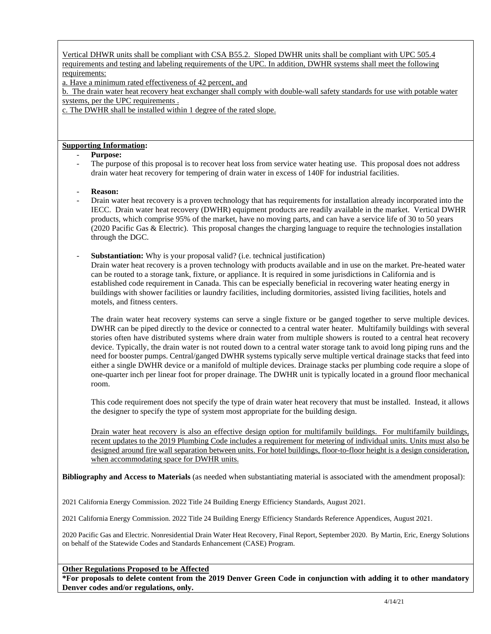Vertical DHWR units shall be compliant with CSA B55.2. Sloped DWHR units shall be compliant with UPC 505.4 requirements and testing and labeling requirements of the UPC. In addition, DWHR systems shall meet the following requirements:

a. Have a minimum rated effectiveness of 42 percent, and

b. The drain water heat recovery heat exchanger shall comply with double-wall safety standards for use with potable water systems, per the UPC requirements .

c. The DWHR shall be installed within 1 degree of the rated slope.

## **Supporting Information:**

## - **Purpose:**

The purpose of this proposal is to recover heat loss from service water heating use. This proposal does not address drain water heat recovery for tempering of drain water in excess of 140F for industrial facilities.

### - **Reason:**

- Drain water heat recovery is a proven technology that has requirements for installation already incorporated into the IECC. Drain water heat recovery (DWHR) equipment products are readily available in the market. Vertical DWHR products, which comprise 95% of the market, have no moving parts, and can have a service life of 30 to 50 years (2020 Pacific Gas & Electric). This proposal changes the charging language to require the technologies installation through the DGC.
- **Substantiation:** Why is your proposal valid? (i.e. technical justification)

Drain water heat recovery is a proven technology with products available and in use on the market. Pre-heated water can be routed to a storage tank, fixture, or appliance. It is required in some jurisdictions in California and is established code requirement in Canada. This can be especially beneficial in recovering water heating energy in buildings with shower facilities or laundry facilities, including dormitories, assisted living facilities, hotels and motels, and fitness centers.

The drain water heat recovery systems can serve a single fixture or be ganged together to serve multiple devices. DWHR can be piped directly to the device or connected to a central water heater. Multifamily buildings with several stories often have distributed systems where drain water from multiple showers is routed to a central heat recovery device. Typically, the drain water is not routed down to a central water storage tank to avoid long piping runs and the need for booster pumps. Central/ganged DWHR systems typically serve multiple vertical drainage stacks that feed into either a single DWHR device or a manifold of multiple devices. Drainage stacks per plumbing code require a slope of one-quarter inch per linear foot for proper drainage. The DWHR unit is typically located in a ground floor mechanical room.

This code requirement does not specify the type of drain water heat recovery that must be installed. Instead, it allows the designer to specify the type of system most appropriate for the building design.

Drain water heat recovery is also an effective design option for multifamily buildings. For multifamily buildings, recent updates to the 2019 Plumbing Code includes a requirement for metering of individual units. Units must also be designed around fire wall separation between units. For hotel buildings, floor-to-floor height is a design consideration, when accommodating space for DWHR units.

**Bibliography and Access to Materials** (as needed when substantiating material is associated with the amendment proposal):

2021 California Energy Commission. 2022 Title 24 Building Energy Efficiency Standards, August 2021.

2021 California Energy Commission. 2022 Title 24 Building Energy Efficiency Standards Reference Appendices, August 2021.

2020 Pacific Gas and Electric. Nonresidential Drain Water Heat Recovery, Final Report, September 2020. By Martin, Eric, Energy Solutions on behalf of the Statewide Codes and Standards Enhancement (CASE) Program.

**Other Regulations Proposed to be Affected** 

**\*For proposals to delete content from the 2019 Denver Green Code in conjunction with adding it to other mandatory Denver codes and/or regulations, only.**